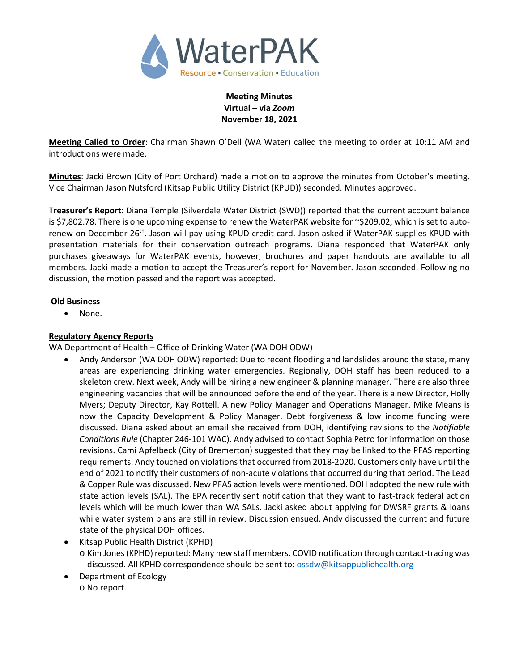

**Meeting Minutes Virtual – via** *Zoom* **November 18, 2021**

**Meeting Called to Order**: Chairman Shawn O'Dell (WA Water) called the meeting to order at 10:11 AM and introductions were made.

**Minutes**: Jacki Brown (City of Port Orchard) made a motion to approve the minutes from October's meeting. Vice Chairman Jason Nutsford (Kitsap Public Utility District (KPUD)) seconded. Minutes approved.

**Treasurer's Report**: Diana Temple (Silverdale Water District (SWD)) reported that the current account balance is \$7,802.78. There is one upcoming expense to renew the WaterPAK website for ~\$209.02, which is set to autorenew on December 26<sup>th</sup>. Jason will pay using KPUD credit card. Jason asked if WaterPAK supplies KPUD with presentation materials for their conservation outreach programs. Diana responded that WaterPAK only purchases giveaways for WaterPAK events, however, brochures and paper handouts are available to all members. Jacki made a motion to accept the Treasurer's report for November. Jason seconded. Following no discussion, the motion passed and the report was accepted.

### **Old Business**

• None.

# **Regulatory Agency Reports**

WA Department of Health – Office of Drinking Water (WA DOH ODW)

- Andy Anderson (WA DOH ODW) reported: Due to recent flooding and landslides around the state, many areas are experiencing drinking water emergencies. Regionally, DOH staff has been reduced to a skeleton crew. Next week, Andy will be hiring a new engineer & planning manager. There are also three engineering vacancies that will be announced before the end of the year. There is a new Director, Holly Myers; Deputy Director, Kay Rottell. A new Policy Manager and Operations Manager. Mike Means is now the Capacity Development & Policy Manager. Debt forgiveness & low income funding were discussed. Diana asked about an email she received from DOH, identifying revisions to the *Notifiable Conditions Rule* (Chapter 246-101 WAC). Andy advised to contact Sophia Petro for information on those revisions. Cami Apfelbeck (City of Bremerton) suggested that they may be linked to the PFAS reporting requirements. Andy touched on violations that occurred from 2018-2020. Customers only have until the end of 2021 to notify their customers of non-acute violations that occurred during that period. The Lead & Copper Rule was discussed. New PFAS action levels were mentioned. DOH adopted the new rule with state action levels (SAL). The EPA recently sent notification that they want to fast-track federal action levels which will be much lower than WA SALs. Jacki asked about applying for DWSRF grants & loans while water system plans are still in review. Discussion ensued. Andy discussed the current and future state of the physical DOH offices.
- Kitsap Public Health District (KPHD) o Kim Jones (KPHD) reported: Many new staff members. COVID notification through contact-tracing was discussed. All KPHD correspondence should be sent to: [ossdw@kitsappublichealth.org](mailto:ossdw@kitsappublichealth.org)
- Department of Ecology o No report